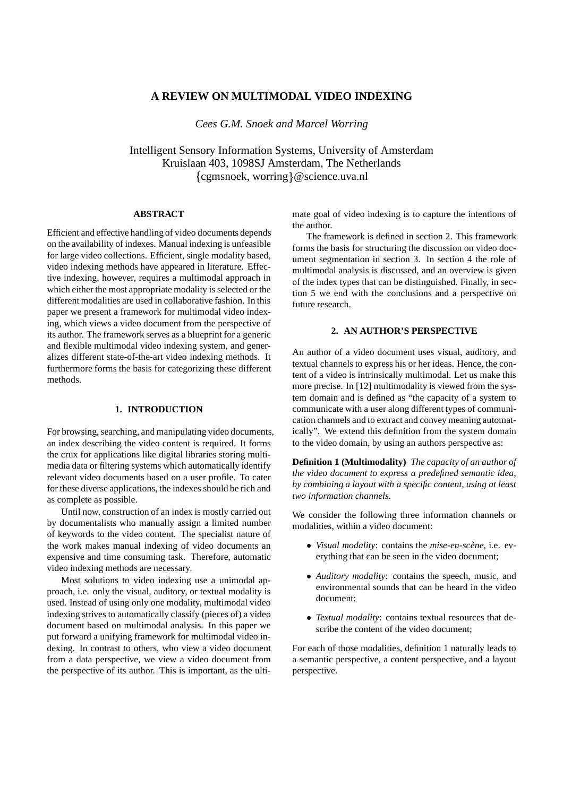# **A REVIEW ON MULTIMODAL VIDEO INDEXING**

*Cees G.M. Snoek and Marcel Worring*

Intelligent Sensory Information Systems, University of Amsterdam Kruislaan 403, 1098SJ Amsterdam, The Netherlands {cgmsnoek, worring}@science.uva.nl

# **ABSTRACT**

Efficient and effective handling of video documents depends on the availability of indexes. Manual indexing is unfeasible for large video collections. Efficient, single modality based, video indexing methods have appeared in literature. Effective indexing, however, requires a multimodal approach in which either the most appropriate modality is selected or the different modalities are used in collaborative fashion. In this paper we present a framework for multimodal video indexing, which views a video document from the perspective of its author. The framework serves as a blueprint for a generic and flexible multimodal video indexing system, and generalizes different state-of-the-art video indexing methods. It furthermore forms the basis for categorizing these different methods.

## **1. INTRODUCTION**

For browsing, searching, and manipulating video documents, an index describing the video content is required. It forms the crux for applications like digital libraries storing multimedia data or filtering systems which automatically identify relevant video documents based on a user profile. To cater for these diverse applications, the indexes should be rich and as complete as possible.

Until now, construction of an index is mostly carried out by documentalists who manually assign a limited number of keywords to the video content. The specialist nature of the work makes manual indexing of video documents an expensive and time consuming task. Therefore, automatic video indexing methods are necessary.

Most solutions to video indexing use a unimodal approach, i.e. only the visual, auditory, or textual modality is used. Instead of using only one modality, multimodal video indexing strives to automatically classify (pieces of) a video document based on multimodal analysis. In this paper we put forward a unifying framework for multimodal video indexing. In contrast to others, who view a video document from a data perspective, we view a video document from the perspective of its author. This is important, as the ultimate goal of video indexing is to capture the intentions of the author.

The framework is defined in section 2. This framework forms the basis for structuring the discussion on video document segmentation in section 3. In section 4 the role of multimodal analysis is discussed, and an overview is given of the index types that can be distinguished. Finally, in section 5 we end with the conclusions and a perspective on future research.

## **2. AN AUTHOR'S PERSPECTIVE**

An author of a video document uses visual, auditory, and textual channels to express his or her ideas. Hence, the content of a video is intrinsically multimodal. Let us make this more precise. In [12] multimodality is viewed from the system domain and is defined as "the capacity of a system to communicate with a user along different types of communication channels and to extract and convey meaning automatically". We extend this definition from the system domain to the video domain, by using an authors perspective as:

**Definition 1 (Multimodality)** *The capacity of an author of the video document to express a predefined semantic idea, by combining a layout with a specific content, using at least two information channels.*

We consider the following three information channels or modalities, within a video document:

- *Visual modality*: contains the *mise-en-scene `* , i.e. everything that can be seen in the video document;
- *Auditory modality*: contains the speech, music, and environmental sounds that can be heard in the video document;
- *Textual modality*: contains textual resources that describe the content of the video document;

For each of those modalities, definition 1 naturally leads to a semantic perspective, a content perspective, and a layout perspective.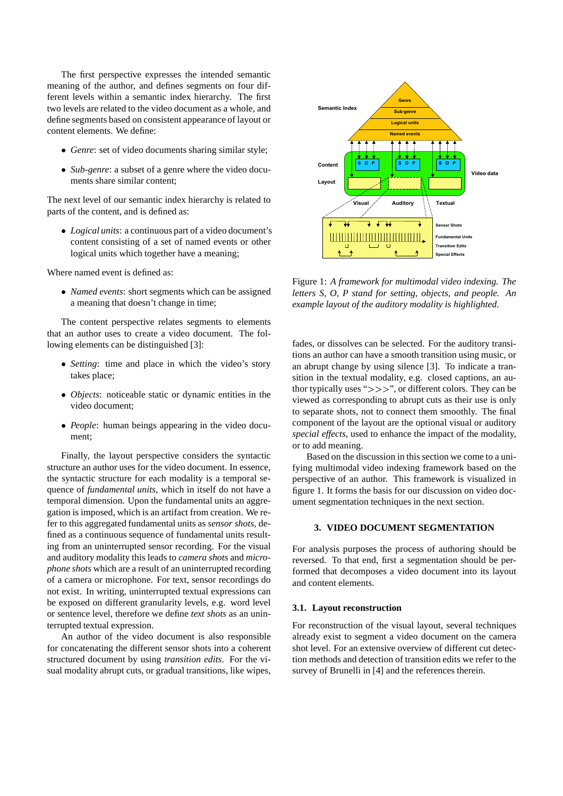The first perspective expresses the intended semantic meaning of the author, and defines segments on four different levels within a semantic index hierarchy. The first two levels are related to the video document as a whole, and define segments based on consistent appearance of layout or content elements. We define:

- *Genre*: set of video documents sharing similar style;
- Sub-genre: a subset of a genre where the video documents share similar content;

The next level of our semantic index hierarchy is related to parts of the content, and is defined as:

- *Logical units*: a continuous part of a video document's content consisting of a set of named events or other logical units which together have a meaning;

Where named event is defined as:

- *Named events*: short segments which can be assigned a meaning that doesn't change in time;

The content perspective relates segments to elements that an author uses to create a video document. The following elements can be distinguished [3]:

- Setting: time and place in which the video's story takes place;
- *Objects*: noticeable static or dynamic entities in the video document;
- People: human beings appearing in the video document;

Finally, the layout perspective considers the syntactic structure an author uses for the video document. In essence, the syntactic structure for each modality is a temporal sequence of *fundamental units*, which in itself do not have a temporal dimension. Upon the fundamental units an aggregation is imposed, which is an artifact from creation. We refer to this aggregated fundamental units as *sensor shots*, defined as a continuous sequence of fundamental units resulting from an uninterrupted sensor recording. For the visual and auditory modality this leads to *camera shots* and *microphone shots* which are a result of an uninterrupted recording of a camera or microphone. For text, sensor recordings do not exist. In writing, uninterrupted textual expressions can be exposed on different granularity levels, e.g. word level or sentence level, therefore we define *text shots* as an uninterrupted textual expression.

An author of the video document is also responsible for concatenating the different sensor shots into a coherent structured document by using *transition edits*. For the visual modality abrupt cuts, or gradual transitions, like wipes,



Figure 1: *A framework for multimodal video indexing. The letters S, O, P stand for setting, objects, and people. An example layout of the auditory modality is highlighted.*

fades, or dissolves can be selected. For the auditory transitions an author can have a smooth transition using music, or an abrupt change by using silence [3]. To indicate a transition in the textual modality, e.g. closed captions, an author typically uses " $>>$ ", or different colors. They can be viewed as corresponding to abrupt cuts as their use is only to separate shots, not to connect them smoothly. The final component of the layout are the optional visual or auditory *special effects*, used to enhance the impact of the modality, or to add meaning.

Based on the discussion in this section we come to a unifying multimodal video indexing framework based on the perspective of an author. This framework is visualized in figure 1. It forms the basis for our discussion on video document segmentation techniques in the next section.

### **3. VIDEO DOCUMENT SEGMENTATION**

For analysis purposes the process of authoring should be reversed. To that end, first a segmentation should be performed that decomposes a video document into its layout and content elements.

#### **3.1. Layout reconstruction**

For reconstruction of the visual layout, several techniques already exist to segment a video document on the camera shot level. For an extensive overview of different cut detection methods and detection of transition edits we refer to the survey of Brunelli in [4] and the references therein.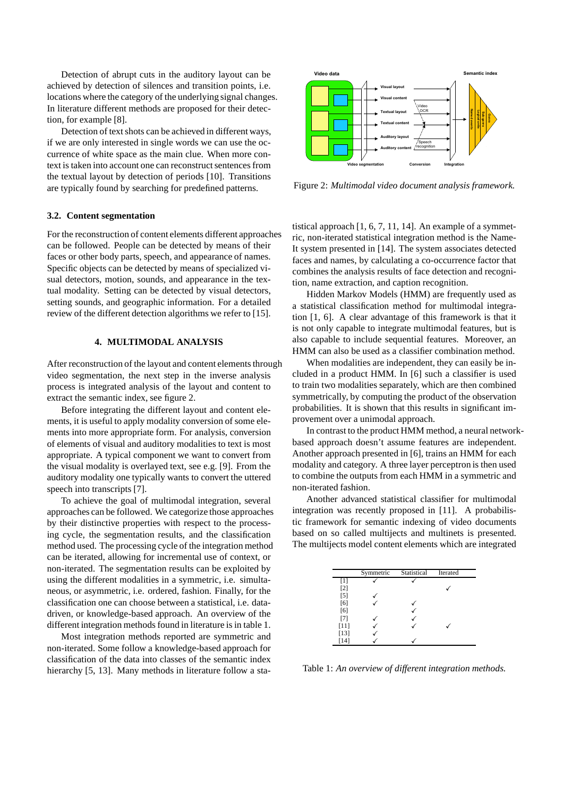Detection of abrupt cuts in the auditory layout can be achieved by detection of silences and transition points, i.e. locations where the category of the underlying signal changes. In literature different methods are proposed for their detection, for example [8].

Detection of text shots can be achieved in different ways, if we are only interested in single words we can use the occurrence of white space as the main clue. When more context is taken into account one can reconstruct sentences from the textual layout by detection of periods [10]. Transitions are typically found by searching for predefined patterns.

#### **3.2. Content segmentation**

For the reconstruction of content elements different approaches can be followed. People can be detected by means of their faces or other body parts, speech, and appearance of names. Specific objects can be detected by means of specialized visual detectors, motion, sounds, and appearance in the textual modality. Setting can be detected by visual detectors, setting sounds, and geographic information. For a detailed review of the different detection algorithms we refer to [15].

#### **4. MULTIMODAL ANALYSIS**

After reconstruction of the layout and content elements through video segmentation, the next step in the inverse analysis process is integrated analysis of the layout and content to extract the semantic index, see figure 2.

Before integrating the different layout and content elements, it is useful to apply modality conversion of some elements into more appropriate form. For analysis, conversion of elements of visual and auditory modalities to text is most appropriate. A typical component we want to convert from the visual modality is overlayed text, see e.g. [9]. From the auditory modality one typically wants to convert the uttered speech into transcripts [7].

To achieve the goal of multimodal integration, several approaches can be followed. We categorize those approaches by their distinctive properties with respect to the processing cycle, the segmentation results, and the classification method used. The processing cycle of the integration method can be iterated, allowing for incremental use of context, or non-iterated. The segmentation results can be exploited by using the different modalities in a symmetric, i.e. simultaneous, or asymmetric, i.e. ordered, fashion. Finally, for the classification one can choose between a statistical, i.e. datadriven, or knowledge-based approach. An overview of the different integration methods found in literature is in table 1.

Most integration methods reported are symmetric and non-iterated. Some follow a knowledge-based approach for classification of the data into classes of the semantic index hierarchy [5, 13]. Many methods in literature follow a sta-



Figure 2: *Multimodal video document analysis framework.*

tistical approach [1, 6, 7, 11, 14]. An example of a symmetric, non-iterated statistical integration method is the Name-It system presented in [14]. The system associates detected faces and names, by calculating a co-occurrence factor that combines the analysis results of face detection and recognition, name extraction, and caption recognition.

Hidden Markov Models (HMM) are frequently used as a statistical classification method for multimodal integration [1, 6]. A clear advantage of this framework is that it is not only capable to integrate multimodal features, but is also capable to include sequential features. Moreover, an HMM can also be used as a classifier combination method.

When modalities are independent, they can easily be included in a product HMM. In [6] such a classifier is used to train two modalities separately, which are then combined symmetrically, by computing the product of the observation probabilities. It is shown that this results in significant improvement over a unimodal approach.

In contrast to the product HMM method, a neural networkbased approach doesn't assume features are independent. Another approach presented in [6], trains an HMM for each modality and category. A three layer perceptron is then used to combine the outputs from each HMM in a symmetric and non-iterated fashion.

Another advanced statistical classifier for multimodal integration was recently proposed in [11]. A probabilistic framework for semantic indexing of video documents based on so called multijects and multinets is presented. The multijects model content elements which are integrated

|        | Symmetric | Statistical | Iterated |
|--------|-----------|-------------|----------|
| [1]    |           |             |          |
| $[2]$  |           |             |          |
| $[5]$  |           |             |          |
| [6]    |           |             |          |
| [6]    |           |             |          |
| [7]    |           |             |          |
| $[11]$ |           |             |          |
| $[13]$ |           |             |          |
| [14]   |           |             |          |

Table 1: *An overview of different integration methods.*